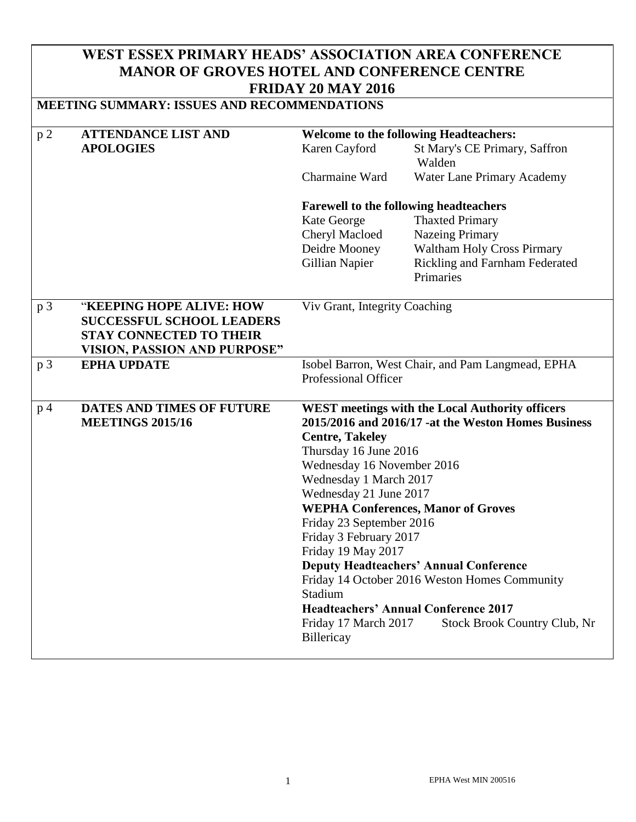## **WEST ESSEX PRIMARY HEADS' ASSOCIATION AREA CONFERENCE MANOR OF GROVES HOTEL AND CONFERENCE CENTRE FRIDAY 20 MAY 2016**

| <b>MEETING SUMMARY: ISSUES AND RECOMMENDATIONS</b> |                                     |                                                 |                                                        |  |
|----------------------------------------------------|-------------------------------------|-------------------------------------------------|--------------------------------------------------------|--|
| p <sub>2</sub>                                     | <b>ATTENDANCE LIST AND</b>          | <b>Welcome to the following Headteachers:</b>   |                                                        |  |
|                                                    | <b>APOLOGIES</b>                    | Karen Cayford                                   | St Mary's CE Primary, Saffron<br>Walden                |  |
|                                                    |                                     | Charmaine Ward                                  | Water Lane Primary Academy                             |  |
|                                                    |                                     | <b>Farewell to the following headteachers</b>   |                                                        |  |
|                                                    |                                     | Kate George                                     | <b>Thaxted Primary</b>                                 |  |
|                                                    |                                     | Cheryl Macloed                                  | <b>Nazeing Primary</b>                                 |  |
|                                                    |                                     | Deidre Mooney                                   | <b>Waltham Holy Cross Pirmary</b>                      |  |
|                                                    |                                     | <b>Gillian Napier</b>                           | Rickling and Farnham Federated                         |  |
|                                                    |                                     |                                                 | Primaries                                              |  |
| p <sub>3</sub>                                     | "KEEPING HOPE ALIVE: HOW            | Viv Grant, Integrity Coaching                   |                                                        |  |
|                                                    | <b>SUCCESSFUL SCHOOL LEADERS</b>    |                                                 |                                                        |  |
|                                                    | <b>STAY CONNECTED TO THEIR</b>      |                                                 |                                                        |  |
|                                                    | <b>VISION, PASSION AND PURPOSE"</b> |                                                 |                                                        |  |
| p <sub>3</sub>                                     | <b>EPHA UPDATE</b>                  |                                                 | Isobel Barron, West Chair, and Pam Langmead, EPHA      |  |
|                                                    |                                     | <b>Professional Officer</b>                     |                                                        |  |
| DATES AND TIMES OF FUTURE<br>p <sub>4</sub>        |                                     |                                                 | <b>WEST</b> meetings with the Local Authority officers |  |
|                                                    | <b>MEETINGS 2015/16</b>             |                                                 | 2015/2016 and 2016/17 -at the Weston Homes Business    |  |
|                                                    |                                     | <b>Centre, Takeley</b><br>Thursday 16 June 2016 |                                                        |  |
|                                                    |                                     | Wednesday 16 November 2016                      |                                                        |  |
|                                                    |                                     | Wednesday 1 March 2017                          |                                                        |  |
|                                                    |                                     | Wednesday 21 June 2017                          |                                                        |  |
|                                                    |                                     |                                                 | <b>WEPHA Conferences, Manor of Groves</b>              |  |
|                                                    |                                     | Friday 23 September 2016                        |                                                        |  |
|                                                    |                                     | Friday 3 February 2017                          |                                                        |  |
|                                                    |                                     | Friday 19 May 2017                              |                                                        |  |
|                                                    |                                     |                                                 | <b>Deputy Headteachers' Annual Conference</b>          |  |
|                                                    |                                     |                                                 | Friday 14 October 2016 Weston Homes Community          |  |
|                                                    |                                     | Stadium                                         |                                                        |  |
|                                                    |                                     |                                                 | <b>Headteachers' Annual Conference 2017</b>            |  |
|                                                    |                                     | Friday 17 March 2017<br>Billericay              | Stock Brook Country Club, Nr                           |  |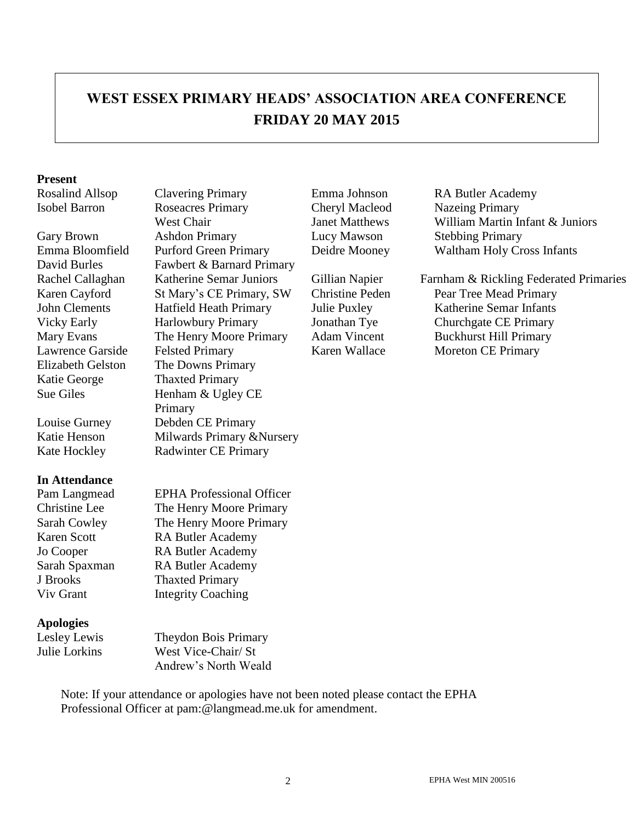# **WEST ESSEX PRIMARY HEADS' ASSOCIATION AREA CONFERENCE FRIDAY 20 MAY 2015**

#### **Present**

Katie George Thaxted Primary

#### **In Attendance**

J Brooks Thaxted Primary

#### **Apologies**

Isobel Barron Roseacres Primary West Chair Gary Brown Ashdon Primary Lucy Mawson Stebbing Primary David Burles Fawbert & Barnard Primary Vicky Early Harlowbury Primary Jonathan Tye Churchgate CE Primary Mary Evans The Henry Moore Primary Adam Vincent Buckhurst Hill Primary Lawrence Garside Felsted Primary Karen Wallace Moreton CE Primary Elizabeth Gelston The Downs Primary Sue Giles Henham & Ugley CE Primary Louise Gurney Debden CE Primary Katie Henson Milwards Primary &Nursery Kate Hockley Radwinter CE Primary

Pam Langmead EPHA Professional Officer Christine Lee The Henry Moore Primary Sarah Cowley The Henry Moore Primary Karen Scott RA Butler Academy Jo Cooper RA Butler Academy Sarah Spaxman RA Butler Academy Viv Grant Integrity Coaching

Lesley Lewis Theydon Bois Primary Julie Lorkins West Vice-Chair/ St Andrew's North Weald

Note: If your attendance or apologies have not been noted please contact the EPHA Professional Officer at pam:@langmead.me.uk for amendment.

Cheryl Macleod Janet Matthews

Rosalind Allsop Clavering Primary Emma Johnson RA Butler Academy Nazeing Primary William Martin Infant & Juniors Emma Bloomfield Purford Green Primary Deidre Mooney Waltham Holy Cross Infants

Rachel Callaghan Katherine Semar Juniors Gillian Napier Farnham & Rickling Federated Primaries Karen Cayford St Mary's CE Primary, SW Christine Peden Pear Tree Mead Primary John Clements Hatfield Heath Primary Julie Puxley Katherine Semar Infants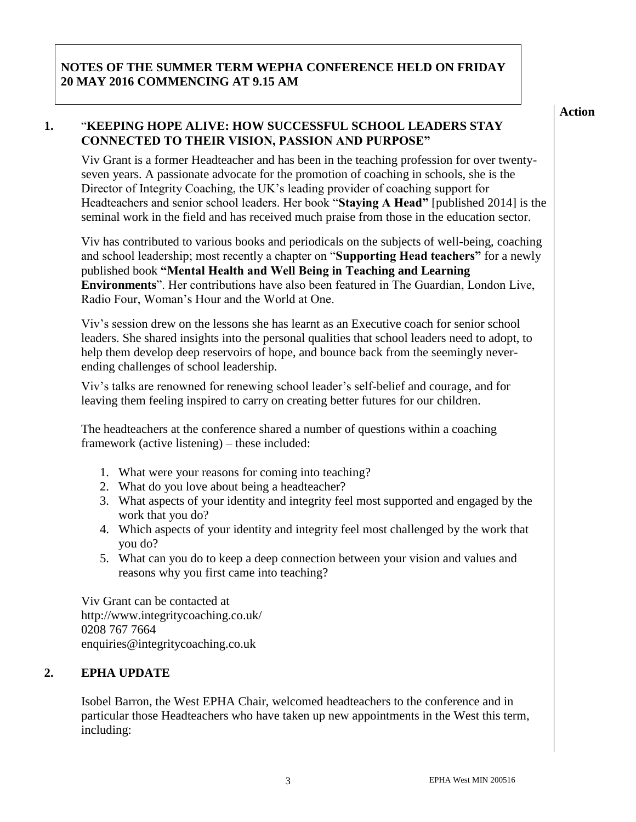## **NOTES OF THE SUMMER TERM WEPHA CONFERENCE HELD ON FRIDAY 20 MAY 2016 COMMENCING AT 9.15 AM**

**CONNECTED TO THEIR VISION, PASSION AND PURPOSE"**

**1.** "**KEEPING HOPE ALIVE: HOW SUCCESSFUL SCHOOL LEADERS STAY** 

Viv Grant is a former Headteacher and has been in the teaching profession for over twentyseven years. A passionate advocate for the promotion of coaching in schools, she is the Director of Integrity Coaching, the UK's leading provider of coaching support for Headteachers and senior school leaders. Her book "**Staying A Head"** [published 2014] is the seminal work in the field and has received much praise from those in the education sector.

Viv has contributed to various books and periodicals on the subjects of well-being, coaching and school leadership; most recently a chapter on "**Supporting Head teachers"** for a newly published book **"Mental Health and Well Being in Teaching and Learning Environments**". Her contributions have also been featured in The Guardian, London Live, Radio Four, Woman's Hour and the World at One.

Viv's session drew on the lessons she has learnt as an Executive coach for senior school leaders. She shared insights into the personal qualities that school leaders need to adopt, to help them develop deep reservoirs of hope, and bounce back from the seemingly neverending challenges of school leadership.

Viv's talks are renowned for renewing school leader's self-belief and courage, and for leaving them feeling inspired to carry on creating better futures for our children.

The headteachers at the conference shared a number of questions within a coaching framework (active listening) – these included:

- 1. What were your reasons for coming into teaching?
- 2. What do you love about being a headteacher?
- 3. What aspects of your identity and integrity feel most supported and engaged by the work that you do?
- 4. Which aspects of your identity and integrity feel most challenged by the work that you do?
- 5. What can you do to keep a deep connection between your vision and values and reasons why you first came into teaching?

Viv Grant can be contacted at http://www.integritycoaching.co.uk/ 0208 767 7664 enquiries@integritycoaching.co.uk

## **2. EPHA UPDATE**

Isobel Barron, the West EPHA Chair, welcomed headteachers to the conference and in particular those Headteachers who have taken up new appointments in the West this term, including:

**Action**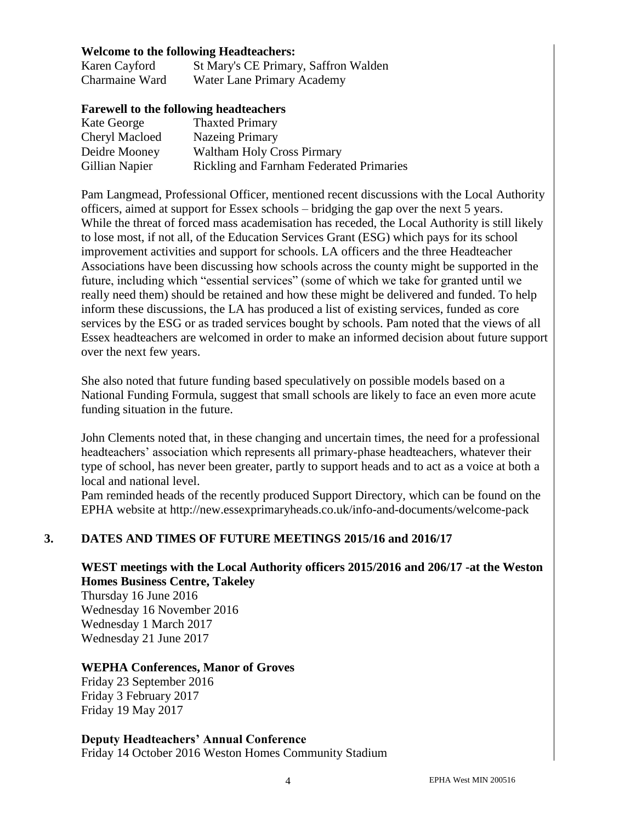#### **Welcome to the following Headteachers:**

Karen Cayford St Mary's CE Primary, Saffron Walden Charmaine Ward Water Lane Primary Academy

#### **Farewell to the following headteachers**

| Kate George           | <b>Thaxted Primary</b>                          |
|-----------------------|-------------------------------------------------|
| <b>Cheryl Macloed</b> | Nazeing Primary                                 |
| Deidre Mooney         | Waltham Holy Cross Pirmary                      |
| Gillian Napier        | <b>Rickling and Farnham Federated Primaries</b> |

Pam Langmead, Professional Officer, mentioned recent discussions with the Local Authority officers, aimed at support for Essex schools – bridging the gap over the next 5 years. While the threat of forced mass academisation has receded, the Local Authority is still likely to lose most, if not all, of the Education Services Grant (ESG) which pays for its school improvement activities and support for schools. LA officers and the three Headteacher Associations have been discussing how schools across the county might be supported in the future, including which "essential services" (some of which we take for granted until we really need them) should be retained and how these might be delivered and funded. To help inform these discussions, the LA has produced a list of existing services, funded as core services by the ESG or as traded services bought by schools. Pam noted that the views of all Essex headteachers are welcomed in order to make an informed decision about future support over the next few years.

She also noted that future funding based speculatively on possible models based on a National Funding Formula, suggest that small schools are likely to face an even more acute funding situation in the future.

John Clements noted that, in these changing and uncertain times, the need for a professional headteachers' association which represents all primary-phase headteachers, whatever their type of school, has never been greater, partly to support heads and to act as a voice at both a local and national level.

Pam reminded heads of the recently produced Support Directory, which can be found on the EPHA website at http://new.essexprimaryheads.co.uk/info-and-documents/welcome-pack

#### **3. DATES AND TIMES OF FUTURE MEETINGS 2015/16 and 2016/17**

## **WEST meetings with the Local Authority officers 2015/2016 and 206/17 -at the Weston Homes Business Centre, Takeley**

Thursday 16 June 2016 Wednesday 16 November 2016 Wednesday 1 March 2017 Wednesday 21 June 2017

#### **WEPHA Conferences, Manor of Groves**

Friday 23 September 2016 Friday 3 February 2017 Friday 19 May 2017

**Deputy Headteachers' Annual Conference** Friday 14 October 2016 Weston Homes Community Stadium